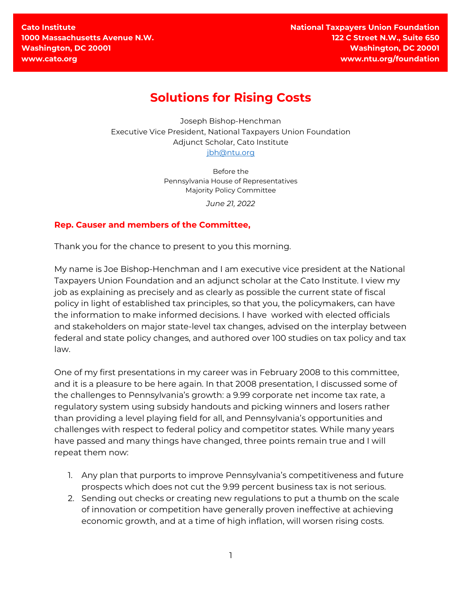**Cato Institute 1000 Massachusetts Avenue N.W. Washington, DC 20001 www.cato.org**

**National Taxpayers Union Foundation 122 C Street N.W., Suite 650 Washington, DC 20001 www.ntu.org/foundation**

## **Solutions for Rising Costs**

Joseph Bishop-Henchman Executive Vice President, National Taxpayers Union Foundation Adjunct Scholar, Cato Institute [jbh@ntu.org](mailto:jbh@ntu.org) 

> Before the Pennsylvania House of Representatives Majority Policy Committee

> > *June 21, 2022*

## **Rep. Causer and members of the Committee,**

Thank you for the chance to present to you this morning.

My name is Joe Bishop‐Henchman and I am executive vice president at the National Taxpayers Union Foundation and an adjunct scholar at the Cato Institute. I view my job as explaining as precisely and as clearly as possible the current state of fiscal policy in light of established tax principles, so that you, the policymakers, can have the information to make informed decisions. I have worked with elected officials and stakeholders on major state‐level tax changes, advised on the interplay between federal and state policy changes, and authored over 100 studies on tax policy and tax law.

One of my first presentations in my career was in February 2008 to this committee, and it is a pleasure to be here again. In that 2008 presentation, I discussed some of the challenges to Pennsylvania's growth: a 9.99 corporate net income tax rate, a regulatory system using subsidy handouts and picking winners and losers rather than providing a level playing field for all, and Pennsylvania's opportunities and challenges with respect to federal policy and competitor states. While many years have passed and many things have changed, three points remain true and I will repeat them now:

- 1. Any plan that purports to improve Pennsylvania's competitiveness and future prospects which does not cut the 9.99 percent business tax is not serious.
- 2. Sending out checks or creating new regulations to put a thumb on the scale of innovation or competition have generally proven ineffective at achieving economic growth, and at a time of high inflation, will worsen rising costs.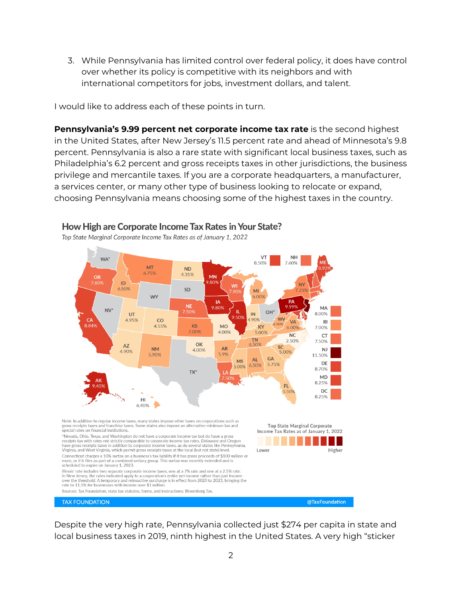3. While Pennsylvania has limited control over federal policy, it does have control over whether its policy is competitive with its neighbors and with international competitors for jobs, investment dollars, and talent.

I would like to address each of these points in turn.

**Pennsylvania's 9.99 percent net corporate income tax rate** is the second highest in the United States, after New Jersey's 11.5 percent rate and ahead of Minnesota's 9.8 percent. Pennsylvania is also a rare state with significant local business taxes, such as Philadelphia's 6.2 percent and gross receipts taxes in other jurisdictions, the business privilege and mercantile taxes. If you are a corporate headquarters, a manufacturer, a services center, or many other type of business looking to relocate or expand, choosing Pennsylvania means choosing some of the highest taxes in the country.



How High are Corporate Income Tax Rates in Your State?

Top State Marginal Corporate Income Tax Rates as of January 1, 2022

Despite the very high rate, Pennsylvania collected just \$274 per capita in state and local business taxes in 2019, ninth highest in the United States. A very high "sticker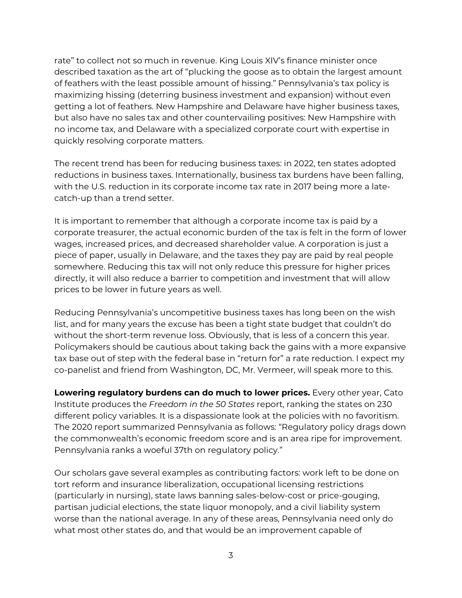rate" to collect not so much in revenue. King Louis XIV's finance minister once described taxation as the art of "plucking the goose as to obtain the largest amount of feathers with the least possible amount of hissing." Pennsylvania's tax policy is maximizing hissing (deterring business investment and expansion) without even getting a lot of feathers. New Hampshire and Delaware have higher business taxes, but also have no sales tax and other countervailing positives: New Hampshire with no income tax, and Delaware with a specialized corporate court with expertise in quickly resolving corporate matters.

The recent trend has been for reducing business taxes: in 2022, ten states adopted reductions in business taxes. Internationally, business tax burdens have been falling, with the U.S. reduction in its corporate income tax rate in 2017 being more a latecatch-up than a trend setter.

It is important to remember that although a corporate income tax is paid by a corporate treasurer, the actual economic burden of the tax is felt in the form of lower wages, increased prices, and decreased shareholder value. A corporation is just a piece of paper, usually in Delaware, and the taxes they pay are paid by real people somewhere. Reducing this tax will not only reduce this pressure for higher prices directly, it will also reduce a barrier to competition and investment that will allow prices to be lower in future years as well.

Reducing Pennsylvania's uncompetitive business taxes has long been on the wish list, and for many years the excuse has been a tight state budget that couldn't do without the short-term revenue loss. Obviously, that is less of a concern this year. Policymakers should be cautious about taking back the gains with a more expansive tax base out of step with the federal base in "return for" a rate reduction. I expect my co-panelist and friend from Washington, DC, Mr. Vermeer, will speak more to this.

**Lowering regulatory burdens can do much to lower prices.** Every other year, Cato Institute produces the *Freedom in the 50 States* report, ranking the states on 230 different policy variables. It is a dispassionate look at the policies with no favoritism. The 2020 report summarized Pennsylvania as follows: "Regulatory policy drags down the commonwealth's economic freedom score and is an area ripe for improvement. Pennsylvania ranks a woeful 37th on regulatory policy."

Our scholars gave several examples as contributing factors: work left to be done on tort reform and insurance liberalization, occupational licensing restrictions (particularly in nursing), state laws banning sales-below-cost or price-gouging, partisan judicial elections, the state liquor monopoly, and a civil liability system worse than the national average. In any of these areas, Pennsylvania need only do what most other states do, and that would be an improvement capable of